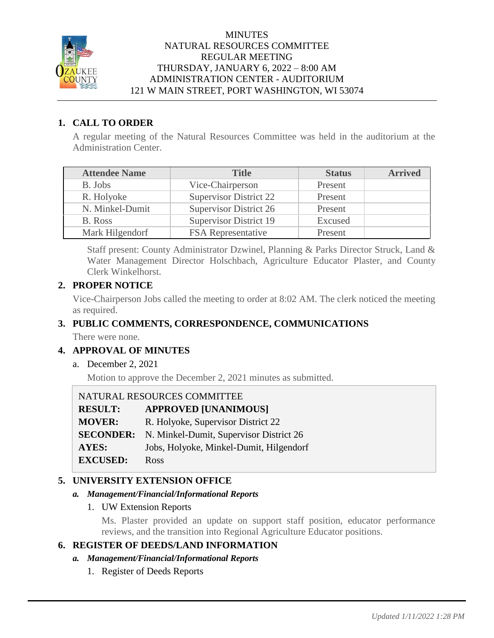

# **MINUTES** NATURAL RESOURCES COMMITTEE REGULAR MEETING THURSDAY, JANUARY 6, 2022 – 8:00 AM ADMINISTRATION CENTER - AUDITORIUM 121 W MAIN STREET, PORT WASHINGTON, WI 53074

# **1. CALL TO ORDER**

A regular meeting of the Natural Resources Committee was held in the auditorium at the Administration Center.

| <b>Attendee Name</b> | <b>Title</b>                  | <b>Status</b> | <b>Arrived</b> |
|----------------------|-------------------------------|---------------|----------------|
| B. Jobs              | Vice-Chairperson              | Present       |                |
| R. Holyoke           | <b>Supervisor District 22</b> | Present       |                |
| N. Minkel-Dumit      | <b>Supervisor District 26</b> | Present       |                |
| B. Ross              | <b>Supervisor District 19</b> | Excused       |                |
| Mark Hilgendorf      | <b>FSA</b> Representative     | Present       |                |

Staff present: County Administrator Dzwinel, Planning & Parks Director Struck, Land & Water Management Director Holschbach, Agriculture Educator Plaster, and County Clerk Winkelhorst.

# **2. PROPER NOTICE**

Vice-Chairperson Jobs called the meeting to order at 8:02 AM. The clerk noticed the meeting as required.

# **3. PUBLIC COMMENTS, CORRESPONDENCE, COMMUNICATIONS**

There were none.

# **4. APPROVAL OF MINUTES**

a. December 2, 2021

Motion to approve the December 2, 2021 minutes as submitted.

NATURAL RESOURCES COMMITTEE

**RESULT: APPROVED [UNANIMOUS] MOVER:** R. Holyoke, Supervisor District 22 **SECONDER:** N. Minkel-Dumit, Supervisor District 26

**AYES:** Jobs, Holyoke, Minkel-Dumit, Hilgendorf

#### **EXCUSED:** Ross

# **5. UNIVERSITY EXTENSION OFFICE**

#### *a. Management/Financial/Informational Reports*

1. UW Extension Reports

Ms. Plaster provided an update on support staff position, educator performance reviews, and the transition into Regional Agriculture Educator positions.

# **6. REGISTER OF DEEDS/LAND INFORMATION**

- *a. Management/Financial/Informational Reports*
	- 1. Register of Deeds Reports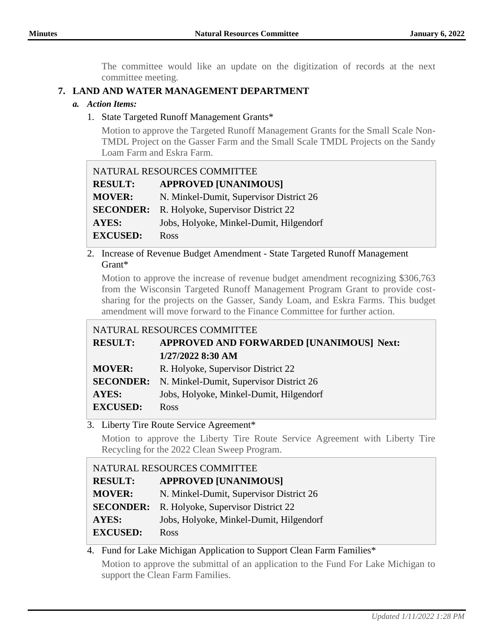The committee would like an update on the digitization of records at the next committee meeting.

# **7. LAND AND WATER MANAGEMENT DEPARTMENT**

# *a. Action Items:*

1. State Targeted Runoff Management Grants\*

Motion to approve the Targeted Runoff Management Grants for the Small Scale Non-TMDL Project on the Gasser Farm and the Small Scale TMDL Projects on the Sandy Loam Farm and Eskra Farm.

| NATURAL RESOURCES COMMITTEE |                                         |
|-----------------------------|-----------------------------------------|
| <b>RESULT:</b>              | <b>APPROVED [UNANIMOUS]</b>             |
| <b>MOVER:</b>               | N. Minkel-Dumit, Supervisor District 26 |
| <b>SECONDER:</b>            | R. Holyoke, Supervisor District 22      |
| <b>AYES:</b>                | Jobs, Holyoke, Minkel-Dumit, Hilgendorf |
| <b>EXCUSED:</b>             | Ross                                    |

2. Increase of Revenue Budget Amendment - State Targeted Runoff Management Grant\*

Motion to approve the increase of revenue budget amendment recognizing \$306,763 from the Wisconsin Targeted Runoff Management Program Grant to provide costsharing for the projects on the Gasser, Sandy Loam, and Eskra Farms. This budget amendment will move forward to the Finance Committee for further action.

# NATURAL RESOURCES COMMITTEE

| <b>RESULT:</b>  | <b>APPROVED AND FORWARDED [UNANIMOUS] Next:</b>          |
|-----------------|----------------------------------------------------------|
|                 | 1/27/2022 8:30 AM                                        |
| <b>MOVER:</b>   | R. Holyoke, Supervisor District 22                       |
|                 | <b>SECONDER:</b> N. Minkel-Dumit, Supervisor District 26 |
| AYES:           | Jobs, Holyoke, Minkel-Dumit, Hilgendorf                  |
| <b>EXCUSED:</b> | <b>Ross</b>                                              |

3. Liberty Tire Route Service Agreement\*

Motion to approve the Liberty Tire Route Service Agreement with Liberty Tire Recycling for the 2022 Clean Sweep Program.

| NATURAL RESOURCES COMMITTEE |                                         |
|-----------------------------|-----------------------------------------|
| <b>RESULT:</b>              | <b>APPROVED [UNANIMOUS]</b>             |
| <b>MOVER:</b>               | N. Minkel-Dumit, Supervisor District 26 |
| <b>SECONDER:</b>            | R. Holyoke, Supervisor District 22      |
| <b>AYES:</b>                | Jobs, Holyoke, Minkel-Dumit, Hilgendorf |
| <b>EXCUSED:</b>             | Ross                                    |

# 4. Fund for Lake Michigan Application to Support Clean Farm Families\*

Motion to approve the submittal of an application to the Fund For Lake Michigan to support the Clean Farm Families.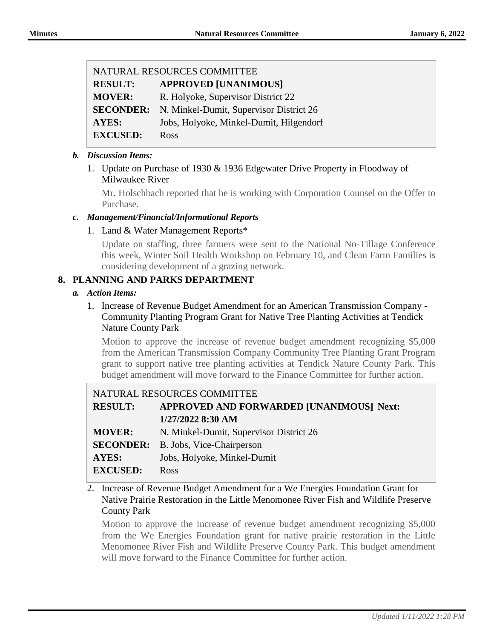| NATURAL RESOURCES COMMITTEE |                                         |
|-----------------------------|-----------------------------------------|
| <b>RESULT:</b>              | <b>APPROVED [UNANIMOUS]</b>             |
| <b>MOVER:</b>               | R. Holyoke, Supervisor District 22      |
| <b>SECONDER:</b>            | N. Minkel-Dumit, Supervisor District 26 |
| AYES:                       | Jobs, Holyoke, Minkel-Dumit, Hilgendorf |
| <b>EXCUSED:</b>             | Ross                                    |

### *b. Discussion Items:*

1. Update on Purchase of 1930 & 1936 Edgewater Drive Property in Floodway of Milwaukee River

Mr. Holschbach reported that he is working with Corporation Counsel on the Offer to Purchase.

#### *c. Management/Financial/Informational Reports*

#### 1. Land & Water Management Reports\*

Update on staffing, three farmers were sent to the National No-Tillage Conference this week, Winter Soil Health Workshop on February 10, and Clean Farm Families is considering development of a grazing network.

# **8. PLANNING AND PARKS DEPARTMENT**

#### *a. Action Items:*

1. Increase of Revenue Budget Amendment for an American Transmission Company - Community Planting Program Grant for Native Tree Planting Activities at Tendick Nature County Park

Motion to approve the increase of revenue budget amendment recognizing \$5,000 from the American Transmission Company Community Tree Planting Grant Program grant to support native tree planting activities at Tendick Nature County Park. This budget amendment will move forward to the Finance Committee for further action.

| NATURAL RESOURCES COMMITTEE |                                            |
|-----------------------------|--------------------------------------------|
| <b>RESULT:</b>              | APPROVED AND FORWARDED [UNANIMOUS] Next:   |
|                             | 1/27/2022 8:30 AM                          |
| <b>MOVER:</b>               | N. Minkel-Dumit, Supervisor District 26    |
|                             | <b>SECONDER:</b> B. Jobs, Vice-Chairperson |
| <b>AYES:</b>                | Jobs, Holyoke, Minkel-Dumit                |
| <b>EXCUSED:</b>             | <b>Ross</b>                                |
|                             |                                            |

2. Increase of Revenue Budget Amendment for a We Energies Foundation Grant for Native Prairie Restoration in the Little Menomonee River Fish and Wildlife Preserve County Park

Motion to approve the increase of revenue budget amendment recognizing \$5,000 from the We Energies Foundation grant for native prairie restoration in the Little Menomonee River Fish and Wildlife Preserve County Park. This budget amendment will move forward to the Finance Committee for further action.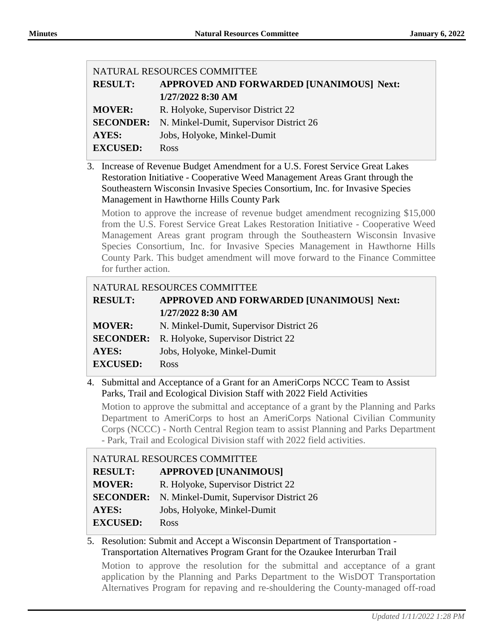| NATURAL RESOURCES COMMITTEE                              |  |
|----------------------------------------------------------|--|
| APPROVED AND FORWARDED [UNANIMOUS] Next:                 |  |
| 1/27/2022 8:30 AM                                        |  |
| R. Holyoke, Supervisor District 22                       |  |
| <b>SECONDER:</b> N. Minkel-Dumit, Supervisor District 26 |  |
| Jobs, Holyoke, Minkel-Dumit                              |  |
| Ross                                                     |  |
|                                                          |  |

3. Increase of Revenue Budget Amendment for a U.S. Forest Service Great Lakes Restoration Initiative - Cooperative Weed Management Areas Grant through the Southeastern Wisconsin Invasive Species Consortium, Inc. for Invasive Species Management in Hawthorne Hills County Park

Motion to approve the increase of revenue budget amendment recognizing \$15,000 from the U.S. Forest Service Great Lakes Restoration Initiative - Cooperative Weed Management Areas grant program through the Southeastern Wisconsin Invasive Species Consortium, Inc. for Invasive Species Management in Hawthorne Hills County Park. This budget amendment will move forward to the Finance Committee for further action.

# NATURAL RESOURCES COMMITTEE **RESULT: APPROVED AND FORWARDED [UNANIMOUS] Next: 1/27/2022 8:30 AM MOVER:** N. Minkel-Dumit, Supervisor District 26 **SECONDER:** R. Holyoke, Supervisor District 22 **AYES:** Jobs, Holyoke, Minkel-Dumit **EXCUSED:** Ross

4. Submittal and Acceptance of a Grant for an AmeriCorps NCCC Team to Assist Parks, Trail and Ecological Division Staff with 2022 Field Activities

Motion to approve the submittal and acceptance of a grant by the Planning and Parks Department to AmeriCorps to host an AmeriCorps National Civilian Community Corps (NCCC) - North Central Region team to assist Planning and Parks Department - Park, Trail and Ecological Division staff with 2022 field activities.

| NATURAL RESOURCES COMMITTEE |                                         |
|-----------------------------|-----------------------------------------|
| <b>RESULT:</b>              | <b>APPROVED [UNANIMOUS]</b>             |
| <b>MOVER:</b>               | R. Holyoke, Supervisor District 22      |
| <b>SECONDER:</b>            | N. Minkel-Dumit, Supervisor District 26 |
| <b>AYES:</b>                | Jobs, Holyoke, Minkel-Dumit             |
| <b>EXCUSED:</b>             | <b>Ross</b>                             |

# 5. Resolution: Submit and Accept a Wisconsin Department of Transportation - Transportation Alternatives Program Grant for the Ozaukee Interurban Trail

Motion to approve the resolution for the submittal and acceptance of a grant application by the Planning and Parks Department to the WisDOT Transportation Alternatives Program for repaving and re-shouldering the County-managed off-road